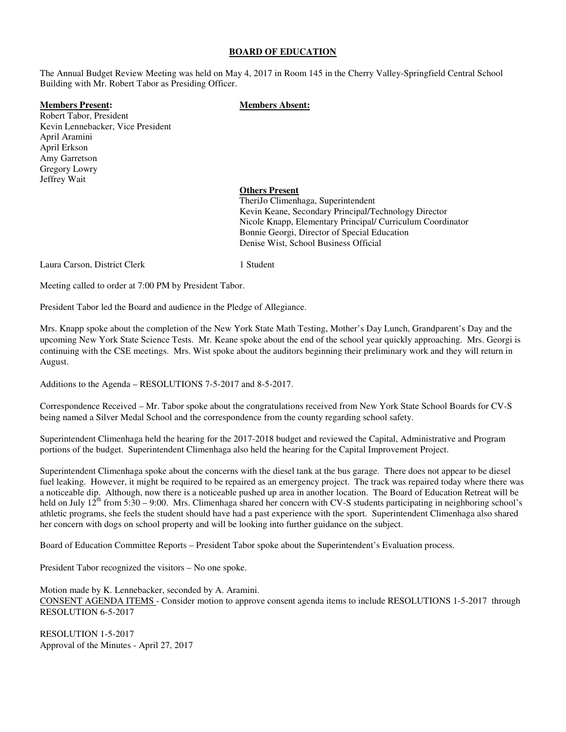#### **BOARD OF EDUCATION**

The Annual Budget Review Meeting was held on May 4, 2017 in Room 145 in the Cherry Valley-Springfield Central School Building with Mr. Robert Tabor as Presiding Officer.

#### **Members Present: Members Absent:**

Robert Tabor, President Kevin Lennebacker, Vice President April Aramini April Erkson Amy Garretson Gregory Lowry Jeffrey Wait

> **Others Present** TheriJo Climenhaga, Superintendent Kevin Keane, Secondary Principal/Technology Director Nicole Knapp, Elementary Principal/ Curriculum Coordinator Bonnie Georgi, Director of Special Education Denise Wist, School Business Official

Laura Carson, District Clerk 1 Student

Meeting called to order at 7:00 PM by President Tabor.

President Tabor led the Board and audience in the Pledge of Allegiance.

Mrs. Knapp spoke about the completion of the New York State Math Testing, Mother's Day Lunch, Grandparent's Day and the upcoming New York State Science Tests. Mr. Keane spoke about the end of the school year quickly approaching. Mrs. Georgi is continuing with the CSE meetings. Mrs. Wist spoke about the auditors beginning their preliminary work and they will return in August.

Additions to the Agenda – RESOLUTIONS 7-5-2017 and 8-5-2017.

Correspondence Received – Mr. Tabor spoke about the congratulations received from New York State School Boards for CV-S being named a Silver Medal School and the correspondence from the county regarding school safety.

Superintendent Climenhaga held the hearing for the 2017-2018 budget and reviewed the Capital, Administrative and Program portions of the budget. Superintendent Climenhaga also held the hearing for the Capital Improvement Project.

Superintendent Climenhaga spoke about the concerns with the diesel tank at the bus garage. There does not appear to be diesel fuel leaking. However, it might be required to be repaired as an emergency project. The track was repaired today where there was a noticeable dip. Although, now there is a noticeable pushed up area in another location. The Board of Education Retreat will be held on July  $12^{th}$  from  $5:30 - 9:00$ . Mrs. Climenhaga shared her concern with CV-S students participating in neighboring school's athletic programs, she feels the student should have had a past experience with the sport. Superintendent Climenhaga also shared her concern with dogs on school property and will be looking into further guidance on the subject.

Board of Education Committee Reports – President Tabor spoke about the Superintendent's Evaluation process.

President Tabor recognized the visitors – No one spoke.

Motion made by K. Lennebacker, seconded by A. Aramini.

CONSENT AGENDA ITEMS - Consider motion to approve consent agenda items to include RESOLUTIONS 1-5-2017 through RESOLUTION 6-5-2017

RESOLUTION 1-5-2017 Approval of the Minutes - April 27, 2017